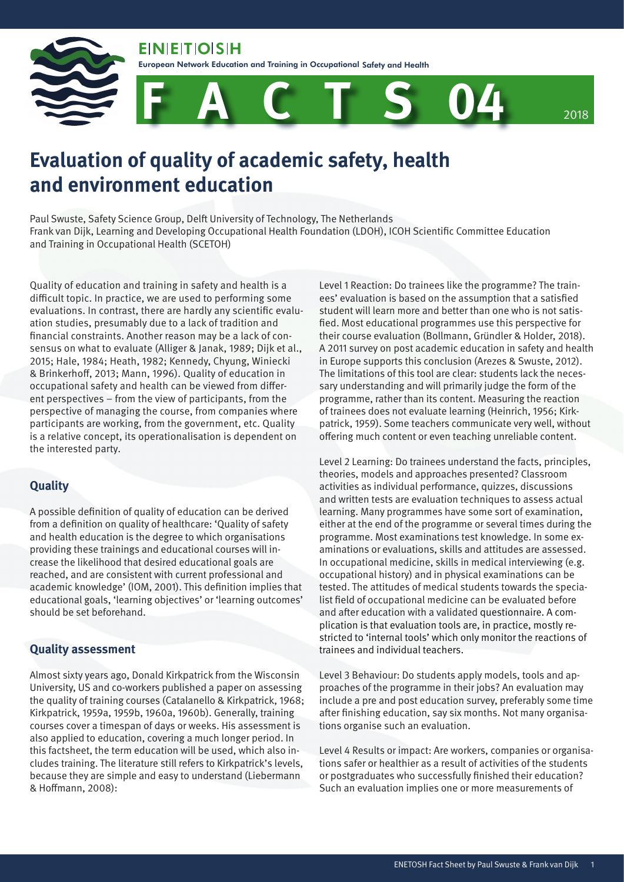**EIN EIT OIS H** 

Safety and Health

European Network Education and Training in Occupational Safety and Health





# **Evaluation of quality of academic safety, health and environment education**

Paul Swuste, Safety Science Group, Delft University of Technology, The Netherlands Frank van Dijk, Learning and Developing Occupational Health Foundation (LDOH), ICOH Scientific Committee Education and Training in Occupational Health (SCETOH)

Quality of education and training in safety and health is a difficult topic. In practice, we are used to performing some evaluations. In contrast, there are hardly any scientific evaluation studies, presumably due to a lack of tradition and financial constraints. Another reason may be a lack of consensus on what to evaluate (Alliger & Janak, 1989; Dijk et al., 2015; Hale, 1984; Heath, 1982; Kennedy, Chyung, Winiecki & Brinkerhoff, 2013; Mann, 1996). Quality of education in occupational safety and health can be viewed from different perspectives – from the view of participants, from the perspective of managing the course, from companies where participants are working, from the government, etc. Quality is a relative concept, its operationalisation is dependent on the interested party.

#### **Quality**

A possible definition of quality of education can be derived from a definition on quality of healthcare: 'Quality of safety and health education is the degree to which organisations providing these trainings and educational courses will increase the likelihood that desired educational goals are reached, and are consistent with current professional and academic knowledge' (IOM, 2001). This definition implies that educational goals, 'learning objectives' or 'learning outcomes' should be set beforehand.

#### **Quality assessment**

Almost sixty years ago, Donald Kirkpatrick from the Wisconsin University, US and co-workers published a paper on assessing the quality of training courses (Catalanello & Kirkpatrick, 1968; Kirkpatrick, 1959a, 1959b, 1960a, 1960b). Generally, training courses cover a timespan of days or weeks. His assessment is also applied to education, covering a much longer period. In this factsheet, the term education will be used, which also includes training. The literature still refers to Kirkpatrick's levels, because they are simple and easy to understand (Liebermann & Hoffmann, 2008):

Level 1 Reaction: Do trainees like the programme? The trainees' evaluation is based on the assumption that a satisfied student will learn more and better than one who is not satisfied. Most educational programmes use this perspective for their course evaluation (Bollmann, Gründler & Holder, 2018). A 2011 survey on post academic education in safety and health in Europe supports this conclusion (Arezes & Swuste, 2012). The limitations of this tool are clear: students lack the necessary understanding and will primarily judge the form of the programme, rather than its content. Measuring the reaction of trainees does not evaluate learning (Heinrich, 1956; Kirkpatrick, 1959). Some teachers communicate very well, without offering much content or even teaching unreliable content.

Level 2 Learning: Do trainees understand the facts, principles, theories, models and approaches presented? Classroom activities as individual performance, quizzes, discussions and written tests are evaluation techniques to assess actual learning. Many programmes have some sort of examination, either at the end of the programme or several times during the programme. Most examinations test knowledge. In some examinations or evaluations, skills and attitudes are assessed. In occupational medicine, skills in medical interviewing (e.g. occupational history) and in physical examinations can be tested. The attitudes of medical students towards the specialist field of occupational medicine can be evaluated before and after education with a validated questionnaire. A complication is that evaluation tools are, in practice, mostly restricted to 'internal tools' which only monitor the reactions of trainees and individual teachers.

Level 3 Behaviour: Do students apply models, tools and approaches of the programme in their jobs? An evaluation may include a pre and post education survey, preferably some time after finishing education, say six months. Not many organisations organise such an evaluation.

Level 4 Results or impact: Are workers, companies or organisations safer or healthier as a result of activities of the students or postgraduates who successfully finished their education? Such an evaluation implies one or more measurements of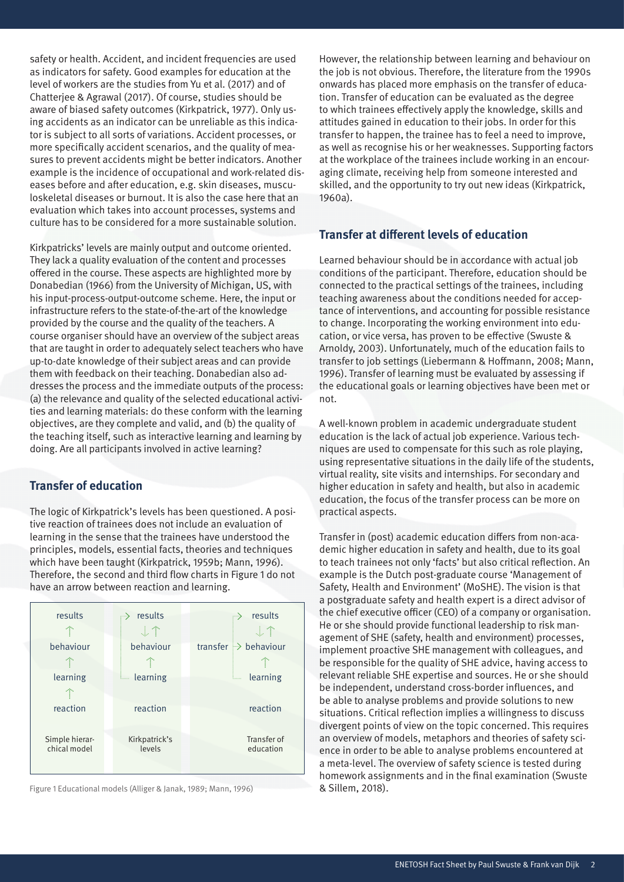safety or health. Accident, and incident frequencies are used as indicators for safety. Good examples for education at the level of workers are the studies from Yu et al. (2017) and of Chatterjee & Agrawal (2017). Of course, studies should be aware of biased safety outcomes (Kirkpatrick, 1977). Only using accidents as an indicator can be unreliable as this indicator is subject to all sorts of variations. Accident processes, or more specifically accident scenarios, and the quality of measures to prevent accidents might be better indicators. Another example is the incidence of occupational and work-related diseases before and after education, e.g. skin diseases, musculoskeletal diseases or burnout. It is also the case here that an evaluation which takes into account processes, systems and culture has to be considered for a more sustainable solution.

Kirkpatricks' levels are mainly output and outcome oriented. They lack a quality evaluation of the content and processes offered in the course. These aspects are highlighted more by Donabedian (1966) from the University of Michigan, US, with his input-process-output-outcome scheme. Here, the input or infrastructure refers to the state-of-the-art of the knowledge provided by the course and the quality of the teachers. A course organiser should have an overview of the subject areas that are taught in order to adequately select teachers who have up-to-date knowledge of their subject areas and can provide them with feedback on their teaching. Donabedian also addresses the process and the immediate outputs of the process: (a) the relevance and quality of the selected educational activities and learning materials: do these conform with the learning objectives, are they complete and valid, and (b) the quality of the teaching itself, such as interactive learning and learning by doing. Are all participants involved in active learning?

# **Transfer of education**

The logic of Kirkpatrick's levels has been questioned. A positive reaction of trainees does not include an evaluation of learning in the sense that the trainees have understood the principles, models, essential facts, theories and techniques which have been taught (Kirkpatrick, 1959b; Mann, 1996). Therefore, the second and third flow charts in Figure 1 do not have an arrow between reaction and learning.



Figure 1 Educational models (Alliger & Janak, 1989; Mann, 1996)

However, the relationship between learning and behaviour on the job is not obvious. Therefore, the literature from the 1990s onwards has placed more emphasis on the transfer of education. Transfer of education can be evaluated as the degree to which trainees effectively apply the knowledge, skills and attitudes gained in education to their jobs. In order for this transfer to happen, the trainee has to feel a need to improve, as well as recognise his or her weaknesses. Supporting factors at the workplace of the trainees include working in an encouraging climate, receiving help from someone interested and skilled, and the opportunity to try out new ideas (Kirkpatrick, 1960a).

#### **Transfer at different levels of education**

Learned behaviour should be in accordance with actual job conditions of the participant. Therefore, education should be connected to the practical settings of the trainees, including teaching awareness about the conditions needed for acceptance of interventions, and accounting for possible resistance to change. Incorporating the working environment into education, or vice versa, has proven to be effective (Swuste & Arnoldy, 2003). Unfortunately, much of the education fails to transfer to job settings (Liebermann & Hoffmann, 2008; Mann, 1996). Transfer of learning must be evaluated by assessing if the educational goals or learning objectives have been met or not.

A well-known problem in academic undergraduate student education is the lack of actual job experience. Various techniques are used to compensate for this such as role playing, using representative situations in the daily life of the students, virtual reality, site visits and internships. For secondary and higher education in safety and health, but also in academic education, the focus of the transfer process can be more on practical aspects.

Transfer in (post) academic education differs from non-academic higher education in safety and health, due to its goal to teach trainees not only 'facts' but also critical reflection. An example is the Dutch post-graduate course 'Management of Safety, Health and Environment' (MoSHE). The vision is that a postgraduate safety and health expert is a direct advisor of the chief executive officer (CEO) of a company or organisation. He or she should provide functional leadership to risk management of SHE (safety, health and environment) processes, implement proactive SHE management with colleagues, and be responsible for the quality of SHE advice, having access to relevant reliable SHE expertise and sources. He or she should be independent, understand cross-border influences, and be able to analyse problems and provide solutions to new situations. Critical reflection implies a willingness to discuss divergent points of view on the topic concerned. This requires an overview of models, metaphors and theories of safety science in order to be able to analyse problems encountered at a meta-level. The overview of safety science is tested during homework assignments and in the final examination (Swuste & Sillem, 2018).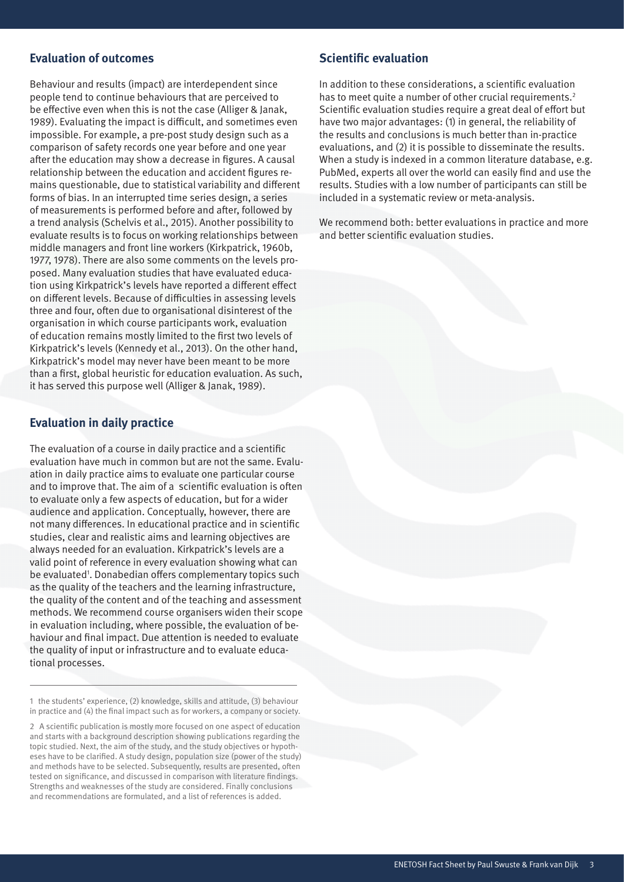## **Evaluation of outcomes**

Behaviour and results (impact) are interdependent since people tend to continue behaviours that are perceived to be effective even when this is not the case (Alliger & Janak, 1989). Evaluating the impact is difficult, and sometimes even impossible. For example, a pre-post study design such as a comparison of safety records one year before and one year after the education may show a decrease in figures. A causal relationship between the education and accident figures remains questionable, due to statistical variability and different forms of bias. In an interrupted time series design, a series of measurements is performed before and after, followed by a trend analysis (Schelvis et al., 2015). Another possibility to evaluate results is to focus on working relationships between middle managers and front line workers (Kirkpatrick, 1960b, 1977, 1978). There are also some comments on the levels proposed. Many evaluation studies that have evaluated education using Kirkpatrick's levels have reported a different effect on different levels. Because of difficulties in assessing levels three and four, often due to organisational disinterest of the organisation in which course participants work, evaluation of education remains mostly limited to the first two levels of Kirkpatrick's levels (Kennedy et al., 2013). On the other hand, Kirkpatrick's model may never have been meant to be more than a first, global heuristic for education evaluation. As such, it has served this purpose well (Alliger & Janak, 1989).

## **Evaluation in daily practice**

The evaluation of a course in daily practice and a scientific evaluation have much in common but are not the same. Evaluation in daily practice aims to evaluate one particular course and to improve that. The aim of a scientific evaluation is often to evaluate only a few aspects of education, but for a wider audience and application. Conceptually, however, there are not many differences. In educational practice and in scientific studies, clear and realistic aims and learning objectives are always needed for an evaluation. Kirkpatrick's levels are a valid point of reference in every evaluation showing what can be evaluated<sup>1</sup>. Donabedian offers complementary topics such as the quality of the teachers and the learning infrastructure, the quality of the content and of the teaching and assessment methods. We recommend course organisers widen their scope in evaluation including, where possible, the evaluation of behaviour and final impact. Due attention is needed to evaluate the quality of input or infrastructure and to evaluate educational processes.

1 the students' experience, (2) knowledge, skills and attitude, (3) behaviour in practice and (4) the final impact such as for workers, a company or society.

2 A scientific publication is mostly more focused on one aspect of education and starts with a background description showing publications regarding the topic studied. Next, the aim of the study, and the study objectives or hypotheses have to be clarified. A study design, population size (power of the study) and methods have to be selected. Subsequently, results are presented, often tested on significance, and discussed in comparison with literature findings. Strengths and weaknesses of the study are considered. Finally conclusions and recommendations are formulated, and a list of references is added.

## **Scientific evaluation**

In addition to these considerations, a scientific evaluation has to meet quite a number of other crucial requirements.<sup>2</sup> Scientific evaluation studies require a great deal of effort but have two major advantages: (1) in general, the reliability of the results and conclusions is much better than in-practice evaluations, and (2) it is possible to disseminate the results. When a study is indexed in a common literature database, e.g. PubMed, experts all over the world can easily find and use the results. Studies with a low number of participants can still be included in a systematic review or meta-analysis.

We recommend both: better evaluations in practice and more and better scientific evaluation studies.